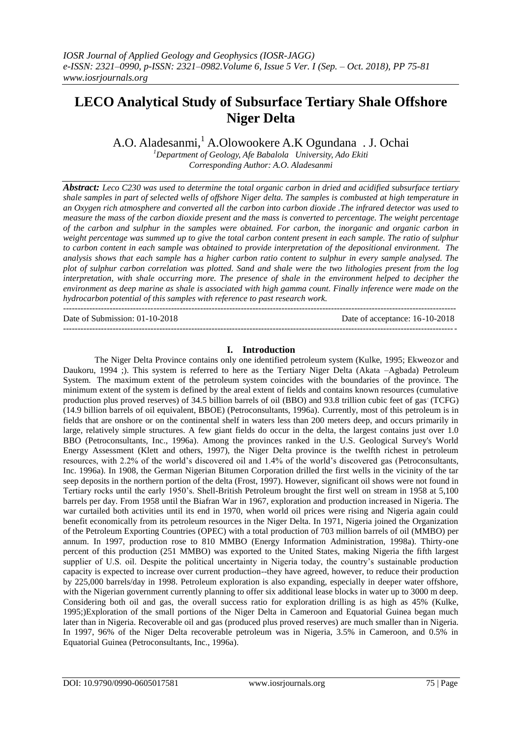# **LECO Analytical Study of Subsurface Tertiary Shale Offshore Niger Delta**

A.O. Aladesanmi, <sup>1</sup> A.Olowookere A.K Ogundana . J. Ochai

*<sup>1</sup>Department of Geology, Afe Babalola University, Ado Ekiti Corresponding Author: A.O. Aladesanmi*

*Abstract: Leco C230 was used to determine the total organic carbon in dried and acidified subsurface tertiary shale samples in part of selected wells of offshore Niger delta. The samples is combusted at high temperature in an Oxygen rich atmosphere and converted all the carbon into carbon dioxide .The infrared detector was used to measure the mass of the carbon dioxide present and the mass is converted to percentage. The weight percentage of the carbon and sulphur in the samples were obtained. For carbon, the inorganic and organic carbon in weight percentage was summed up to give the total carbon content present in each sample. The ratio of sulphur to carbon content in each sample was obtained to provide interpretation of the depositional environment. The analysis shows that each sample has a higher carbon ratio content to sulphur in every sample analysed. The plot of sulphur carbon correlation was plotted. Sand and shale were the two lithologies present from the log interpretation, with shale occurring more. The presence of shale in the environment helped to decipher the environment as deep marine as shale is associated with high gamma count. Finally inference were made on the hydrocarbon potential of this samples with reference to past research work.*   $-1.1$ 

Date of Submission: 01-10-2018 Date of acceptance: 16-10-2018 --------------------------------------------------------------------------------------------------------------------------------------*-*

# **I. Introduction**

The Niger Delta Province contains only one identified petroleum system (Kulke, 1995; Ekweozor and Daukoru, 1994 ;). This system is referred to here as the Tertiary Niger Delta (Akata –Agbada) Petroleum System. The maximum extent of the petroleum system coincides with the boundaries of the province. The minimum extent of the system is defined by the areal extent of fields and contains known resources (cumulative production plus proved reserves) of 34.5 billion barrels of oil (BBO) and 93.8 trillion cubic feet of gas. (TCFG) (14.9 billion barrels of oil equivalent, BBOE) (Petroconsultants, 1996a). Currently, most of this petroleum is in fields that are onshore or on the continental shelf in waters less than 200 meters deep, and occurs primarily in large, relatively simple structures. A few giant fields do occur in the delta, the largest contains just over 1.0 BBO (Petroconsultants, Inc., 1996a). Among the provinces ranked in the U.S. Geological Survey's World Energy Assessment (Klett and others, 1997), the Niger Delta province is the twelfth richest in petroleum resources, with 2.2% of the world's discovered oil and 1.4% of the world's discovered gas (Petroconsultants, Inc. 1996a). In 1908, the German Nigerian Bitumen Corporation drilled the first wells in the vicinity of the tar seep deposits in the northern portion of the delta (Frost, 1997). However, significant oil shows were not found in Tertiary rocks until the early 1950's. Shell-British Petroleum brought the first well on stream in 1958 at 5,100 barrels per day. From 1958 until the Biafran War in 1967, exploration and production increased in Nigeria. The war curtailed both activities until its end in 1970, when world oil prices were rising and Nigeria again could benefit economically from its petroleum resources in the Niger Delta. In 1971, Nigeria joined the Organization of the Petroleum Exporting Countries (OPEC) with a total production of 703 million barrels of oil (MMBO) per annum. In 1997, production rose to 810 MMBO (Energy Information Administration, 1998a). Thirty-one percent of this production (251 MMBO) was exported to the United States, making Nigeria the fifth largest supplier of U.S. oil. Despite the political uncertainty in Nigeria today, the country's sustainable production capacity is expected to increase over current production--they have agreed, however, to reduce their production by 225,000 barrels/day in 1998. Petroleum exploration is also expanding, especially in deeper water offshore, with the Nigerian government currently planning to offer six additional lease blocks in water up to 3000 m deep. Considering both oil and gas, the overall success ratio for exploration drilling is as high as 45% (Kulke, 1995;)Exploration of the small portions of the Niger Delta in Cameroon and Equatorial Guinea began much later than in Nigeria. Recoverable oil and gas (produced plus proved reserves) are much smaller than in Nigeria. In 1997, 96% of the Niger Delta recoverable petroleum was in Nigeria, 3.5% in Cameroon, and 0.5% in Equatorial Guinea (Petroconsultants, Inc., 1996a).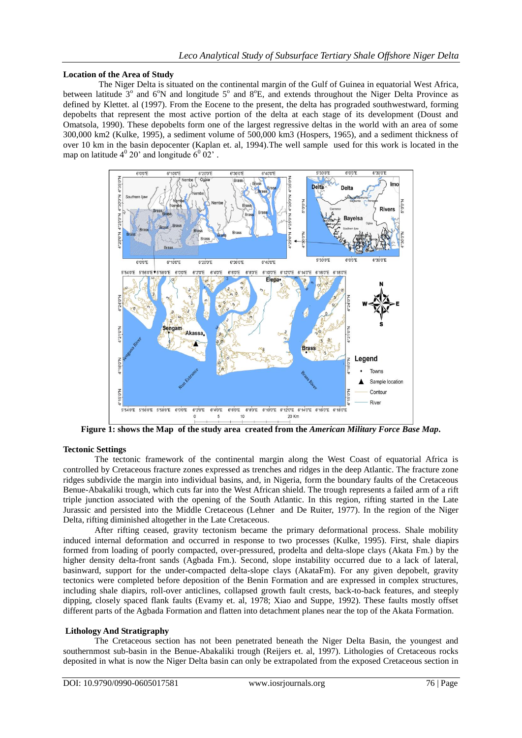#### **Location of the Area of Study**

The Niger Delta is situated on the continental margin of the Gulf of Guinea in equatorial West Africa, between latitude  $3^\circ$  and  $6^\circ$ N and longitude  $5^\circ$  and  $8^\circ$ E, and extends throughout the Niger Delta Province as defined by Klettet. al (1997). From the Eocene to the present, the delta has prograded southwestward, forming depobelts that represent the most active portion of the delta at each stage of its development (Doust and Omatsola, 1990). These depobelts form one of the largest regressive deltas in the world with an area of some 300,000 km2 (Kulke, 1995), a sediment volume of 500,000 km3 (Hospers, 1965), and a sediment thickness of over 10 km in the basin depocenter (Kaplan et. al, 1994).The well sample used for this work is located in the map on latitude  $4^{\circ}$  20' and longitude  $6^{\circ}$  02'.



**Figure 1: shows the Map of the study area created from the** *American Military Force Base Map***.**

#### **Tectonic Settings**

The tectonic framework of the continental margin along the West Coast of equatorial Africa is controlled by Cretaceous fracture zones expressed as trenches and ridges in the deep Atlantic. The fracture zone ridges subdivide the margin into individual basins, and, in Nigeria, form the boundary faults of the Cretaceous Benue-Abakaliki trough, which cuts far into the West African shield. The trough represents a failed arm of a rift triple junction associated with the opening of the South Atlantic. In this region, rifting started in the Late Jurassic and persisted into the Middle Cretaceous (Lehner and De Ruiter, 1977). In the region of the Niger Delta, rifting diminished altogether in the Late Cretaceous.

After rifting ceased, gravity tectonism became the primary deformational process. Shale mobility induced internal deformation and occurred in response to two processes (Kulke, 1995). First, shale diapirs formed from loading of poorly compacted, over-pressured, prodelta and delta-slope clays (Akata Fm.) by the higher density delta-front sands (Agbada Fm.). Second, slope instability occurred due to a lack of lateral, basinward, support for the under-compacted delta-slope clays (AkataFm). For any given depobelt, gravity tectonics were completed before deposition of the Benin Formation and are expressed in complex structures, including shale diapirs, roll-over anticlines, collapsed growth fault crests, back-to-back features, and steeply dipping, closely spaced flank faults (Evamy et. al, 1978; Xiao and Suppe, 1992). These faults mostly offset different parts of the Agbada Formation and flatten into detachment planes near the top of the Akata Formation.

#### **Lithology And Stratigraphy**

The Cretaceous section has not been penetrated beneath the Niger Delta Basin, the youngest and southernmost sub-basin in the Benue-Abakaliki trough (Reijers et. al, 1997). Lithologies of Cretaceous rocks deposited in what is now the Niger Delta basin can only be extrapolated from the exposed Cretaceous section in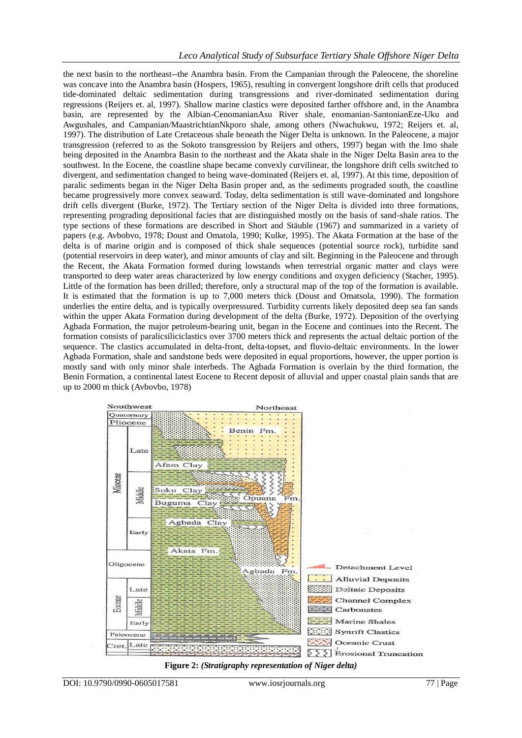the next basin to the northeast--the Anambra basin. From the Campanian through the Paleocene, the shoreline was concave into the Anambra basin (Hospers, 1965), resulting in convergent longshore drift cells that produced tide-dominated deltaic sedimentation during transgressions and river-dominated sedimentation during regressions (Reijers et. al, 1997). Shallow marine clastics were deposited farther offshore and, in the Anambra basin, are represented by the Albian-CenomanianAsu River shale, enomanian-SantonianEze-Uku and Awgushales, and Campanian/MaastrichtianNkporo shale, among others (Nwachukwu, 1972; Reijers et. al, 1997). The distribution of Late Cretaceous shale beneath the Niger Delta is unknown. In the Paleocene, a major transgression (referred to as the Sokoto transgression by Reijers and others, 1997) began with the Imo shale being deposited in the Anambra Basin to the northeast and the Akata shale in the Niger Delta Basin area to the southwest. In the Eocene, the coastline shape became convexly curvilinear, the longshore drift cells switched to divergent, and sedimentation changed to being wave-dominated (Reijers et. al, 1997). At this time, deposition of paralic sediments began in the Niger Delta Basin proper and, as the sediments prograded south, the coastline became progressively more convex seaward. Today, delta sedimentation is still wave-dominated and longshore drift cells divergent (Burke, 1972). The Tertiary section of the Niger Delta is divided into three formations, representing prograding depositional facies that are distinguished mostly on the basis of sand-shale ratios. The type sections of these formations are described in Short and Stäuble (1967) and summarized in a variety of papers (e.g. Avbobvo, 1978; Doust and Omatola, 1990; Kulke, 1995). The Akata Formation at the base of the delta is of marine origin and is composed of thick shale sequences (potential source rock), turbidite sand (potential reservoirs in deep water), and minor amounts of clay and silt. Beginning in the Paleocene and through the Recent, the Akata Formation formed during lowstands when terrestrial organic matter and clays were transported to deep water areas characterized by low energy conditions and oxygen deficiency (Stacher, 1995). Little of the formation has been drilled; therefore, only a structural map of the top of the formation is available. It is estimated that the formation is up to 7,000 meters thick (Doust and Omatsola, 1990). The formation underlies the entire delta, and is typically overpressured. Turbidity currents likely deposited deep sea fan sands within the upper Akata Formation during development of the delta (Burke, 1972). Deposition of the overlying Agbada Formation, the major petroleum-bearing unit, began in the Eocene and continues into the Recent. The formation consists of paralicsiliciclastics over 3700 meters thick and represents the actual deltaic portion of the sequence. The clastics accumulated in delta-front, delta-topset, and fluvio-deltaic environments. In the lower Agbada Formation, shale and sandstone beds were deposited in equal proportions, however, the upper portion is mostly sand with only minor shale interbeds. The Agbada Formation is overlain by the third formation, the Benin Formation, a continental latest Eocene to Recent deposit of alluvial and upper coastal plain sands that are up to 2000 m thick (Avbovbo, 1978)



**Figure 2:** *(Stratigraphy representation of Niger delta)*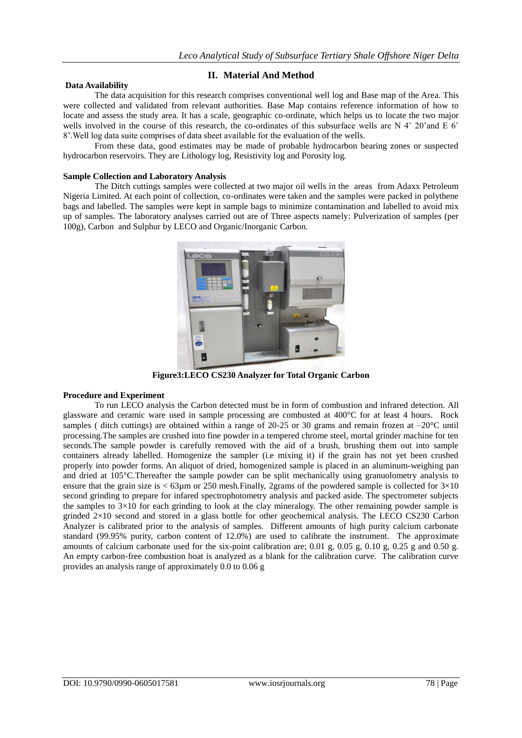## **II. Material And Method**

### **Data Availability**

The data acquisition for this research comprises conventional well log and Base map of the Area. This were collected and validated from relevant authorities. Base Map contains reference information of how to locate and assess the study area. It has a scale, geographic co-ordinate, which helps us to locate the two major wells involved in the course of this research, the co-ordinates of this subsurface wells are N  $4^{\circ}$  20'and E 6° 8'.Well log data suite comprises of data sheet available for the evaluation of the wells.

From these data, good estimates may be made of probable hydrocarbon bearing zones or suspected hydrocarbon reservoirs. They are Lithology log, Resistivity log and Porosity log.

### **Sample Collection and Laboratory Analysis**

The Ditch cuttings samples were collected at two major oil wells in the areas from Adaxx Petroleum Nigeria Limited. At each point of collection, co-ordinates were taken and the samples were packed in polythene bags and labelled. The samples were kept in sample bags to minimize contamination and labelled to avoid mix up of samples. The laboratory analyses carried out are of Three aspects namely: Pulverization of samples (per 100g), Carbon and Sulphur by LECO and Organic/Inorganic Carbon.



**Figure3:LECO CS230 Analyzer for Total Organic Carbon**

## **Procedure and Experiment**

To run LECO analysis the Carbon detected must be in form of combustion and infrared detection. All glassware and ceramic ware used in sample processing are combusted at 400°C for at least 4 hours. Rock samples ( ditch cuttings) are obtained within a range of 20-25 or 30 grams and remain frozen at  $-20^{\circ}$ C until processing.The samples are crushed into fine powder in a tempered chrome steel, mortal grinder machine for ten seconds.The sample powder is carefully removed with the aid of a brush, brushing them out into sample containers already labelled. Homogenize the sampler (i.e mixing it) if the grain has not yet been crushed properly into powder forms. An aliquot of dried, homogenized sample is placed in an aluminum-weighing pan and dried at 105°C. Thereafter the sample powder can be split mechanically using granuolometry analysis to ensure that the grain size is  $< 63 \mu m$  or 250 mesh. Finally, 2grams of the powdered sample is collected for  $3 \times 10$ second grinding to prepare for infared spectrophotometry analysis and packed aside. The spectrometer subjects the samples to  $3\times10$  for each grinding to look at the clay mineralogy. The other remaining powder sample is grinded 2×10 second and stored in a glass bottle for other geochemical analysis. The LECO CS230 Carbon Analyzer is calibrated prior to the analysis of samples. Different amounts of high purity calcium carbonate standard (99.95% purity, carbon content of 12.0%) are used to calibrate the instrument. The approximate amounts of calcium carbonate used for the six-point calibration are; 0.01 g, 0.05 g, 0.10 g, 0.25 g and 0.50 g. An empty carbon-free combustion boat is analyzed as a blank for the calibration curve. The calibration curve provides an analysis range of approximately 0.0 to 0.06 g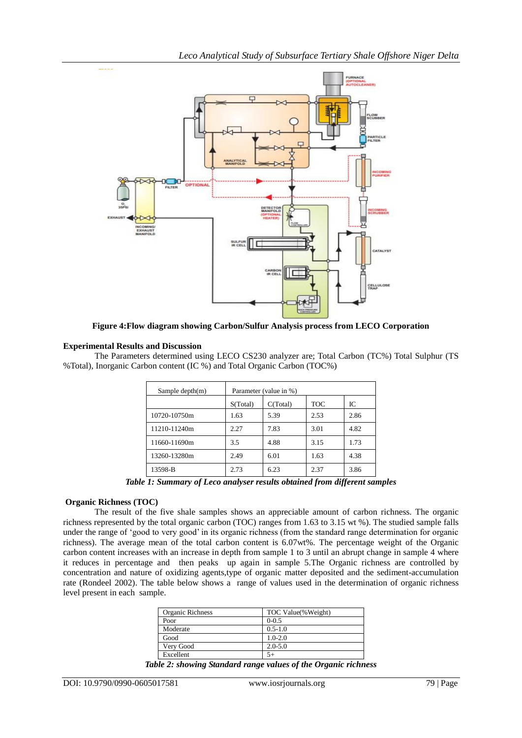

**Figure 4:Flow diagram showing Carbon/Sulfur Analysis process from LECO Corporation**

## **Experimental Results and Discussion**

The Parameters determined using LECO CS230 analyzer are; Total Carbon (TC%) Total Sulphur (TS %Total), Inorganic Carbon content (IC %) and Total Organic Carbon (TOC%)

| Sample depth $(m)$ | Parameter (value in %) |          |            |      |
|--------------------|------------------------|----------|------------|------|
|                    | S(Total)               | C(Total) | <b>TOC</b> | IC   |
| 10720-10750m       | 1.63                   | 5.39     | 2.53       | 2.86 |
| 11210-11240m       | 2.27                   | 7.83     | 3.01       | 4.82 |
| 11660-11690m       | 3.5                    | 4.88     | 3.15       | 1.73 |
| 13260-13280m       | 2.49                   | 6.01     | 1.63       | 4.38 |
| 13598-B            | 2.73                   | 6.23     | 2.37       | 3.86 |

*Table 1: Summary of Leco analyser results obtained from different samples*

## **Organic Richness (TOC)**

The result of the five shale samples shows an appreciable amount of carbon richness. The organic richness represented by the total organic carbon (TOC) ranges from 1.63 to 3.15 wt %). The studied sample falls under the range of 'good to very good' in its organic richness (from the standard range determination for organic richness). The average mean of the total carbon content is 6.07wt%. The percentage weight of the Organic carbon content increases with an increase in depth from sample 1 to 3 until an abrupt change in sample 4 where it reduces in percentage and then peaks up again in sample 5.The Organic richness are controlled by concentration and nature of oxidizing agents,type of organic matter deposited and the sediment-accumulation rate (Rondeel 2002). The table below shows a range of values used in the determination of organic richness level present in each sample.

| Organic Richness | TOC Value(%Weight) |  |
|------------------|--------------------|--|
| Poor             | $0 - 0.5$          |  |
| Moderate         | $0.5 - 1.0$        |  |
| Good             | $1.0 - 2.0$        |  |
| Very Good        | $2.0 - 5.0$        |  |
| Excellent        |                    |  |

*Table 2: showing Standard range values of the Organic richness*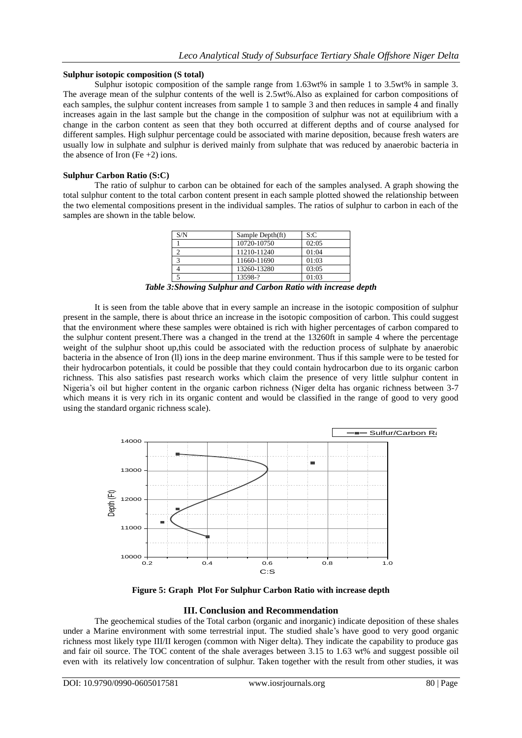### **Sulphur isotopic composition (S total)**

Sulphur isotopic composition of the sample range from 1.63wt% in sample 1 to 3.5wt% in sample 3. The average mean of the sulphur contents of the well is 2.5wt%.Also as explained for carbon compositions of each samples, the sulphur content increases from sample 1 to sample 3 and then reduces in sample 4 and finally increases again in the last sample but the change in the composition of sulphur was not at equilibrium with a change in the carbon content as seen that they both occurred at different depths and of course analysed for different samples. High sulphur percentage could be associated with marine deposition, because fresh waters are usually low in sulphate and sulphur is derived mainly from sulphate that was reduced by anaerobic bacteria in the absence of Iron (Fe  $+2$ ) ions.

## **Sulphur Carbon Ratio (S:C)**

The ratio of sulphur to carbon can be obtained for each of the samples analysed. A graph showing the total sulphur content to the total carbon content present in each sample plotted showed the relationship between the two elemental compositions present in the individual samples. The ratios of sulphur to carbon in each of the samples are shown in the table below.

| S/N | Sample Depth(ft) | S: C  |
|-----|------------------|-------|
|     | 10720-10750      | 02:05 |
|     | 11210-11240      | 01:04 |
|     | 11660-11690      | 01:03 |
|     | 13260-13280      | 03:05 |
|     | 13598-?          | 01:03 |

*Table 3:Showing Sulphur and Carbon Ratio with increase depth*

It is seen from the table above that in every sample an increase in the isotopic composition of sulphur present in the sample, there is about thrice an increase in the isotopic composition of carbon. This could suggest that the environment where these samples were obtained is rich with higher percentages of carbon compared to the sulphur content present.There was a changed in the trend at the 13260ft in sample 4 where the percentage weight of the sulphur shoot up,this could be associated with the reduction process of sulphate by anaerobic bacteria in the absence of Iron (ll) ions in the deep marine environment. Thus if this sample were to be tested for their hydrocarbon potentials, it could be possible that they could contain hydrocarbon due to its organic carbon richness. This also satisfies past research works which claim the presence of very little sulphur content in Nigeria's oil but higher content in the organic carbon richness (Niger delta has organic richness between 3-7 which means it is very rich in its organic content and would be classified in the range of good to very good using the standard organic richness scale).



**Figure 5: Graph Plot For Sulphur Carbon Ratio with increase depth**

## **III. Conclusion and Recommendation**

The geochemical studies of the Total carbon (organic and inorganic) indicate deposition of these shales under a Marine environment with some terrestrial input. The studied shale's have good to very good organic richness most likely type III/II kerogen (common with Niger delta). They indicate the capability to produce gas and fair oil source. The TOC content of the shale averages between 3.15 to 1.63 wt% and suggest possible oil even with its relatively low concentration of sulphur. Taken together with the result from other studies, it was